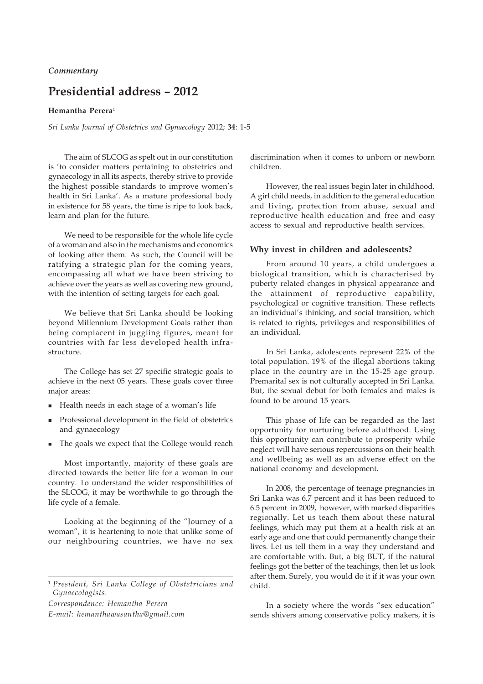## **Presidential address – 2012**

## **Hemantha Perera**<sup>1</sup>

*Sri Lanka Journal of Obstetrics and Gynaecology* 2012; **34**: 1-5

The aim of SLCOG as spelt out in our constitution is 'to consider matters pertaining to obstetrics and gynaecology in all its aspects, thereby strive to provide the highest possible standards to improve women's health in Sri Lanka'. As a mature professional body in existence for 58 years, the time is ripe to look back, learn and plan for the future.

We need to be responsible for the whole life cycle of a woman and also in the mechanisms and economics of looking after them. As such, the Council will be ratifying a strategic plan for the coming years, encompassing all what we have been striving to achieve over the years as well as covering new ground, with the intention of setting targets for each goal.

We believe that Sri Lanka should be looking beyond Millennium Development Goals rather than being complacent in juggling figures, meant for countries with far less developed health infrastructure.

The College has set 27 specific strategic goals to achieve in the next 05 years. These goals cover three major areas:

- Health needs in each stage of a woman's life
- Professional development in the field of obstetrics and gynaecology
- The goals we expect that the College would reach

Most importantly, majority of these goals are directed towards the better life for a woman in our country. To understand the wider responsibilities of the SLCOG, it may be worthwhile to go through the life cycle of a female.

Looking at the beginning of the "Journey of a woman", it is heartening to note that unlike some of our neighbouring countries, we have no sex

*Correspondence: Hemantha Perera*

*E-mail: hemanthawasantha@gmail.com*

discrimination when it comes to unborn or newborn children.

However, the real issues begin later in childhood. A girl child needs, in addition to the general education and living, protection from abuse, sexual and reproductive health education and free and easy access to sexual and reproductive health services.

## **Why invest in children and adolescents?**

From around 10 years, a child undergoes a biological transition, which is characterised by puberty related changes in physical appearance and the attainment of reproductive capability, psychological or cognitive transition. These reflects an individual's thinking, and social transition, which is related to rights, privileges and responsibilities of an individual.

In Sri Lanka, adolescents represent 22% of the total population. 19% of the illegal abortions taking place in the country are in the 15-25 age group. Premarital sex is not culturally accepted in Sri Lanka. But, the sexual debut for both females and males is found to be around 15 years.

This phase of life can be regarded as the last opportunity for nurturing before adulthood. Using this opportunity can contribute to prosperity while neglect will have serious repercussions on their health and wellbeing as well as an adverse effect on the national economy and development.

In 2008, the percentage of teenage pregnancies in Sri Lanka was 6.7 percent and it has been reduced to 6.5 percent in 2009, however, with marked disparities regionally. Let us teach them about these natural feelings, which may put them at a health risk at an early age and one that could permanently change their lives. Let us tell them in a way they understand and are comfortable with. But, a big BUT, if the natural feelings got the better of the teachings, then let us look after them. Surely, you would do it if it was your own child.

In a society where the words "sex education" sends shivers among conservative policy makers, it is

<sup>1</sup> *President, Sri Lanka College of Obstetricians and Gynaecologists.*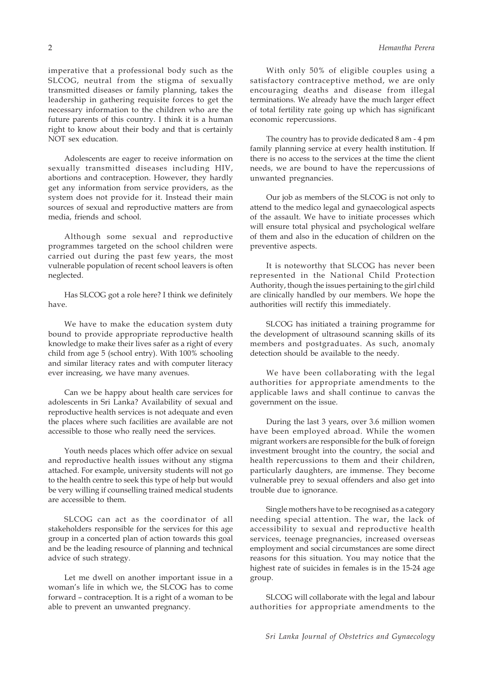imperative that a professional body such as the SLCOG, neutral from the stigma of sexually transmitted diseases or family planning, takes the leadership in gathering requisite forces to get the necessary information to the children who are the future parents of this country. I think it is a human right to know about their body and that is certainly NOT sex education.

Adolescents are eager to receive information on sexually transmitted diseases including HIV, abortions and contraception. However, they hardly get any information from service providers, as the system does not provide for it. Instead their main sources of sexual and reproductive matters are from media, friends and school.

Although some sexual and reproductive programmes targeted on the school children were carried out during the past few years, the most vulnerable population of recent school leavers is often neglected.

Has SLCOG got a role here? I think we definitely have.

We have to make the education system duty bound to provide appropriate reproductive health knowledge to make their lives safer as a right of every child from age 5 (school entry). With 100% schooling and similar literacy rates and with computer literacy ever increasing, we have many avenues.

Can we be happy about health care services for adolescents in Sri Lanka? Availability of sexual and reproductive health services is not adequate and even the places where such facilities are available are not accessible to those who really need the services.

Youth needs places which offer advice on sexual and reproductive health issues without any stigma attached. For example, university students will not go to the health centre to seek this type of help but would be very willing if counselling trained medical students are accessible to them.

SLCOG can act as the coordinator of all stakeholders responsible for the services for this age group in a concerted plan of action towards this goal and be the leading resource of planning and technical advice of such strategy.

Let me dwell on another important issue in a woman's life in which we, the SLCOG has to come forward – contraception. It is a right of a woman to be able to prevent an unwanted pregnancy.

With only 50% of eligible couples using a satisfactory contraceptive method, we are only encouraging deaths and disease from illegal terminations. We already have the much larger effect of total fertility rate going up which has significant economic repercussions.

The country has to provide dedicated 8 am - 4 pm family planning service at every health institution. If there is no access to the services at the time the client needs, we are bound to have the repercussions of unwanted pregnancies.

Our job as members of the SLCOG is not only to attend to the medico legal and gynaecological aspects of the assault. We have to initiate processes which will ensure total physical and psychological welfare of them and also in the education of children on the preventive aspects.

It is noteworthy that SLCOG has never been represented in the National Child Protection Authority, though the issues pertaining to the girl child are clinically handled by our members. We hope the authorities will rectify this immediately.

SLCOG has initiated a training programme for the development of ultrasound scanning skills of its members and postgraduates. As such, anomaly detection should be available to the needy.

We have been collaborating with the legal authorities for appropriate amendments to the applicable laws and shall continue to canvas the government on the issue.

During the last 3 years, over 3.6 million women have been employed abroad. While the women migrant workers are responsible for the bulk of foreign investment brought into the country, the social and health repercussions to them and their children, particularly daughters, are immense. They become vulnerable prey to sexual offenders and also get into trouble due to ignorance.

Single mothers have to be recognised as a category needing special attention. The war, the lack of accessibility to sexual and reproductive health services, teenage pregnancies, increased overseas employment and social circumstances are some direct reasons for this situation. You may notice that the highest rate of suicides in females is in the 15-24 age group.

SLCOG will collaborate with the legal and labour authorities for appropriate amendments to the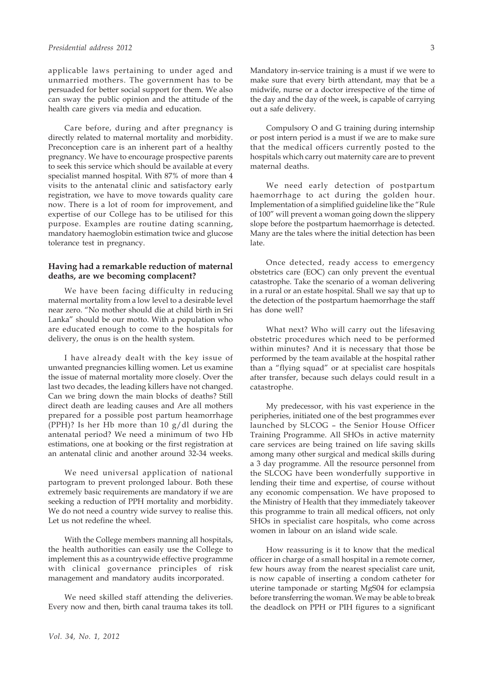applicable laws pertaining to under aged and unmarried mothers. The government has to be persuaded for better social support for them. We also can sway the public opinion and the attitude of the health care givers via media and education.

Care before, during and after pregnancy is directly related to maternal mortality and morbidity. Preconception care is an inherent part of a healthy pregnancy. We have to encourage prospective parents to seek this service which should be available at every specialist manned hospital. With 87% of more than 4 visits to the antenatal clinic and satisfactory early registration, we have to move towards quality care now. There is a lot of room for improvement, and expertise of our College has to be utilised for this purpose. Examples are routine dating scanning, mandatory haemoglobin estimation twice and glucose tolerance test in pregnancy.

## **Having had a remarkable reduction of maternal deaths, are we becoming complacent?**

We have been facing difficulty in reducing maternal mortality from a low level to a desirable level near zero. "No mother should die at child birth in Sri Lanka" should be our motto. With a population who are educated enough to come to the hospitals for delivery, the onus is on the health system.

I have already dealt with the key issue of unwanted pregnancies killing women. Let us examine the issue of maternal mortality more closely. Over the last two decades, the leading killers have not changed. Can we bring down the main blocks of deaths? Still direct death are leading causes and Are all mothers prepared for a possible post partum heamorrhage (PPH)? Is her Hb more than 10 g/dl during the antenatal period? We need a minimum of two Hb estimations, one at booking or the first registration at an antenatal clinic and another around 32-34 weeks.

We need universal application of national partogram to prevent prolonged labour. Both these extremely basic requirements are mandatory if we are seeking a reduction of PPH mortality and morbidity. We do not need a country wide survey to realise this. Let us not redefine the wheel.

With the College members manning all hospitals, the health authorities can easily use the College to implement this as a countrywide effective programme with clinical governance principles of risk management and mandatory audits incorporated.

We need skilled staff attending the deliveries. Every now and then, birth canal trauma takes its toll.

Mandatory in-service training is a must if we were to make sure that every birth attendant, may that be a midwife, nurse or a doctor irrespective of the time of the day and the day of the week, is capable of carrying out a safe delivery.

Compulsory O and G training during internship or post intern period is a must if we are to make sure that the medical officers currently posted to the hospitals which carry out maternity care are to prevent maternal deaths.

We need early detection of postpartum haemorrhage to act during the golden hour. Implementation of a simplified guideline like the "Rule of 100" will prevent a woman going down the slippery slope before the postpartum haemorrhage is detected. Many are the tales where the initial detection has been late.

Once detected, ready access to emergency obstetrics care (EOC) can only prevent the eventual catastrophe. Take the scenario of a woman delivering in a rural or an estate hospital. Shall we say that up to the detection of the postpartum haemorrhage the staff has done well?

What next? Who will carry out the lifesaving obstetric procedures which need to be performed within minutes? And it is necessary that those be performed by the team available at the hospital rather than a "flying squad" or at specialist care hospitals after transfer, because such delays could result in a catastrophe.

My predecessor, with his vast experience in the peripheries, initiated one of the best programmes ever launched by SLCOG – the Senior House Officer Training Programme. All SHOs in active maternity care services are being trained on life saving skills among many other surgical and medical skills during a 3 day programme. All the resource personnel from the SLCOG have been wonderfully supportive in lending their time and expertise, of course without any economic compensation. We have proposed to the Ministry of Health that they immediately takeover this programme to train all medical officers, not only SHOs in specialist care hospitals, who come across women in labour on an island wide scale.

How reassuring is it to know that the medical officer in charge of a small hospital in a remote corner, few hours away from the nearest specialist care unit, is now capable of inserting a condom catheter for uterine tamponade or starting MgS04 for eclampsia before transferring the woman. We may be able to break the deadlock on PPH or PIH figures to a significant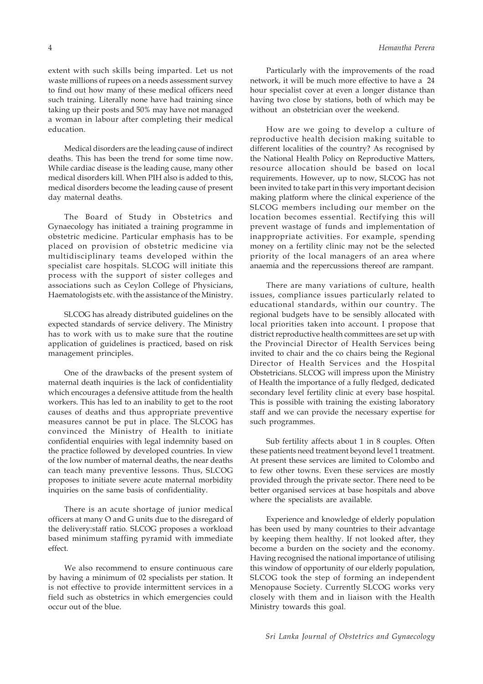extent with such skills being imparted. Let us not waste millions of rupees on a needs assessment survey to find out how many of these medical officers need such training. Literally none have had training since taking up their posts and 50% may have not managed a woman in labour after completing their medical education.

Medical disorders are the leading cause of indirect deaths. This has been the trend for some time now. While cardiac disease is the leading cause, many other medical disorders kill. When PIH also is added to this, medical disorders become the leading cause of present day maternal deaths.

The Board of Study in Obstetrics and Gynaecology has initiated a training programme in obstetric medicine. Particular emphasis has to be placed on provision of obstetric medicine via multidisciplinary teams developed within the specialist care hospitals. SLCOG will initiate this process with the support of sister colleges and associations such as Ceylon College of Physicians, Haematologists etc. with the assistance of the Ministry.

SLCOG has already distributed guidelines on the expected standards of service delivery. The Ministry has to work with us to make sure that the routine application of guidelines is practiced, based on risk management principles.

One of the drawbacks of the present system of maternal death inquiries is the lack of confidentiality which encourages a defensive attitude from the health workers. This has led to an inability to get to the root causes of deaths and thus appropriate preventive measures cannot be put in place. The SLCOG has convinced the Ministry of Health to initiate confidential enquiries with legal indemnity based on the practice followed by developed countries. In view of the low number of maternal deaths, the near deaths can teach many preventive lessons. Thus, SLCOG proposes to initiate severe acute maternal morbidity inquiries on the same basis of confidentiality.

There is an acute shortage of junior medical officers at many O and G units due to the disregard of the delivery:staff ratio. SLCOG proposes a workload based minimum staffing pyramid with immediate effect.

We also recommend to ensure continuous care by having a minimum of 02 specialists per station. It is not effective to provide intermittent services in a field such as obstetrics in which emergencies could occur out of the blue.

Particularly with the improvements of the road network, it will be much more effective to have a 24 hour specialist cover at even a longer distance than having two close by stations, both of which may be without an obstetrician over the weekend.

How are we going to develop a culture of reproductive health decision making suitable to different localities of the country? As recognised by the National Health Policy on Reproductive Matters, resource allocation should be based on local requirements. However, up to now, SLCOG has not been invited to take part in this very important decision making platform where the clinical experience of the SLCOG members including our member on the location becomes essential. Rectifying this will prevent wastage of funds and implementation of inappropriate activities. For example, spending money on a fertility clinic may not be the selected priority of the local managers of an area where anaemia and the repercussions thereof are rampant.

There are many variations of culture, health issues, compliance issues particularly related to educational standards, within our country. The regional budgets have to be sensibly allocated with local priorities taken into account. I propose that district reproductive health committees are set up with the Provincial Director of Health Services being invited to chair and the co chairs being the Regional Director of Health Services and the Hospital Obstetricians. SLCOG will impress upon the Ministry of Health the importance of a fully fledged, dedicated secondary level fertility clinic at every base hospital. This is possible with training the existing laboratory staff and we can provide the necessary expertise for such programmes.

Sub fertility affects about 1 in 8 couples. Often these patients need treatment beyond level 1 treatment. At present these services are limited to Colombo and to few other towns. Even these services are mostly provided through the private sector. There need to be better organised services at base hospitals and above where the specialists are available.

Experience and knowledge of elderly population has been used by many countries to their advantage by keeping them healthy. If not looked after, they become a burden on the society and the economy. Having recognised the national importance of utilising this window of opportunity of our elderly population, SLCOG took the step of forming an independent Menopause Society. Currently SLCOG works very closely with them and in liaison with the Health Ministry towards this goal.